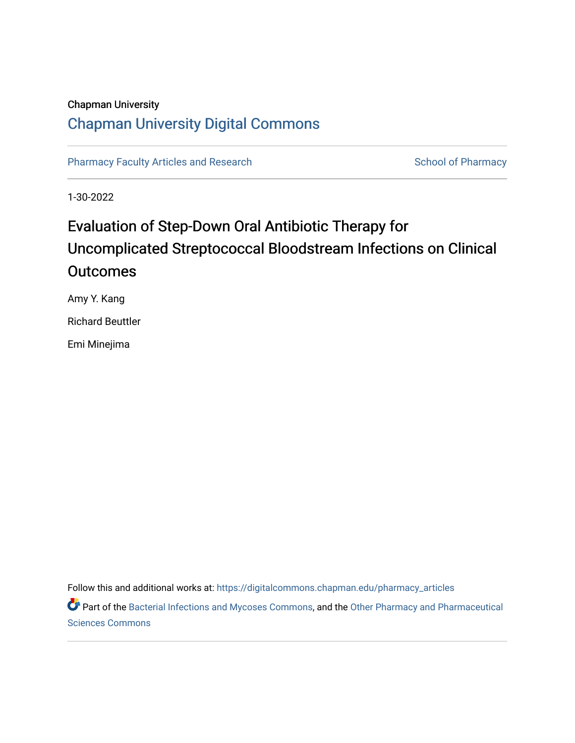# Chapman University [Chapman University Digital Commons](https://digitalcommons.chapman.edu/)

[Pharmacy Faculty Articles and Research](https://digitalcommons.chapman.edu/pharmacy_articles) [School of Pharmacy](https://digitalcommons.chapman.edu/cusp) School of Pharmacy

1-30-2022

# Evaluation of Step-Down Oral Antibiotic Therapy for Uncomplicated Streptococcal Bloodstream Infections on Clinical **Outcomes**

Amy Y. Kang

Richard Beuttler

Emi Minejima

Follow this and additional works at: [https://digitalcommons.chapman.edu/pharmacy\\_articles](https://digitalcommons.chapman.edu/pharmacy_articles?utm_source=digitalcommons.chapman.edu%2Fpharmacy_articles%2F882&utm_medium=PDF&utm_campaign=PDFCoverPages)

Part of the [Bacterial Infections and Mycoses Commons](http://network.bepress.com/hgg/discipline/966?utm_source=digitalcommons.chapman.edu%2Fpharmacy_articles%2F882&utm_medium=PDF&utm_campaign=PDFCoverPages), and the Other Pharmacy and Pharmaceutical [Sciences Commons](http://network.bepress.com/hgg/discipline/737?utm_source=digitalcommons.chapman.edu%2Fpharmacy_articles%2F882&utm_medium=PDF&utm_campaign=PDFCoverPages)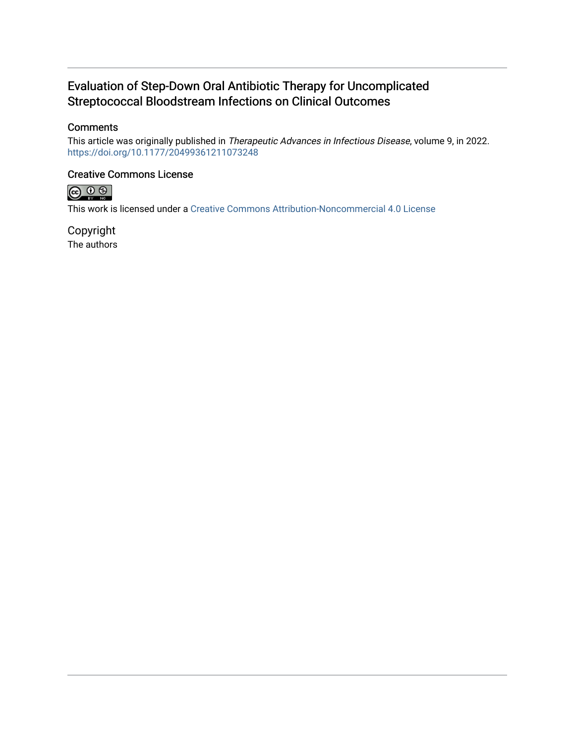# Evaluation of Step-Down Oral Antibiotic Therapy for Uncomplicated Streptococcal Bloodstream Infections on Clinical Outcomes

# **Comments**

This article was originally published in Therapeutic Advances in Infectious Disease, volume 9, in 2022. <https://doi.org/10.1177/20499361211073248>

### Creative Commons License



This work is licensed under a [Creative Commons Attribution-Noncommercial 4.0 License](https://creativecommons.org/licenses/by-nc/4.0/) 

Copyright The authors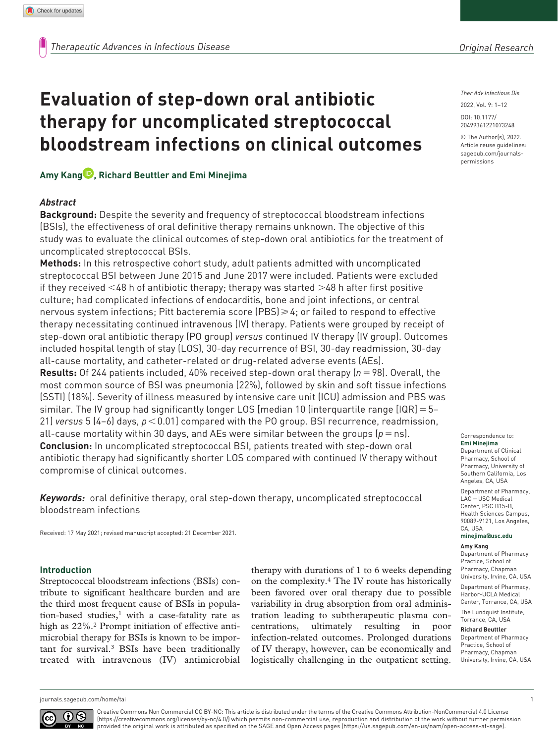*Ther Adv Infectious Dis*

DOI: 10.1177/ 2022, Vol. 9: 1–12

© The Author(s), 2022. Article reuse guidelines: [sagepub.com/journals](https://uk.sagepub.com/en-gb/journals-permissions)[permissions](https://uk.sagepub.com/en-gb/journals-permissions)

20499361221073248

# **therapy for uncomplicated streptococcal bloodstream infections on clinical outcomes**

**Evaluation of step-down oral antibiotic** 

# **Amy Kang , Richard Beuttler and Emi Minejima**

#### *Abstract*

**Background:** Despite the severity and frequency of streptococcal bloodstream infections (BSIs), the effectiveness of oral definitive therapy remains unknown. The objective of this study was to evaluate the clinical outcomes of step-down oral antibiotics for the treatment of uncomplicated streptococcal BSIs.

**Methods:** In this retrospective cohort study, adult patients admitted with uncomplicated streptococcal BSI between June 2015 and June 2017 were included. Patients were excluded if they received  $\leq 48$  h of antibiotic therapy; therapy was started  $\geq 48$  h after first positive culture; had complicated infections of endocarditis, bone and joint infections, or central nervous system infections; Pitt bacteremia score (PBS) $\geq 4$ ; or failed to respond to effective therapy necessitating continued intravenous (IV) therapy. Patients were grouped by receipt of step-down oral antibiotic therapy (PO group) *versus* continued IV therapy (IV group). Outcomes included hospital length of stay (LOS), 30-day recurrence of BSI, 30-day readmission, 30-day all-cause mortality, and catheter-related or drug-related adverse events (AEs). **Results:** Of 244 patients included, 40% received step-down oral therapy (*n*=98). Overall, the most common source of BSI was pneumonia (22%), followed by skin and soft tissue infections (SSTI) (18%). Severity of illness measured by intensive care unit (ICU) admission and PBS was similar. The IV group had significantly longer LOS [median 10 (interquartile range [IQR] = 5–

21) *versus* 5 (4–6) days, *p*<0.01] compared with the PO group. BSI recurrence, readmission, all-cause mortality within 30 days, and AEs were similar between the groups  $(p = n_s)$ . **Conclusion:** In uncomplicated streptococcal BSI, patients treated with step-down oral antibiotic therapy had significantly shorter LOS compared with continued IV therapy without compromise of clinical outcomes.

*Keywords:* oral definitive therapy, oral step-down therapy, uncomplicated streptococcal bloodstream infections

Received: 17 May 2021; revised manuscript accepted: 21 December 2021.

#### **Introduction**

Streptococcal bloodstream infections (BSIs) contribute to significant healthcare burden and are the third most frequent cause of BSIs in population-based studies, $1$  with a case-fatality rate as high as  $22\%$ .<sup>2</sup> Prompt initiation of effective antimicrobial therapy for BSIs is known to be important for survival.3 BSIs have been traditionally treated with intravenous (IV) antimicrobial therapy with durations of 1 to 6 weeks depending on the complexity.4 The IV route has historically been favored over oral therapy due to possible variability in drug absorption from oral administration leading to subtherapeutic plasma concentrations, ultimately resulting in poor infection-related outcomes. Prolonged durations of IV therapy, however, can be economically and logistically challenging in the outpatient setting.

Correspondence to: **Emi Minejima**

Department of Clinical Pharmacy, School of Pharmacy, University of Southern California, Los Angeles, CA, USA Department of Pharmacy, LAC+USC Medical Center, PSC B15-B Health Sciences Campus, 90089-9121, Los Angeles, CA, USA **[minejima@usc.edu](mailto:minejima@usc.edu)**

**Amy Kang** Department of Pharmacy Practice, School of Pharmacy, Chapman University, Irvine, CA, USA Department of Pharmacy, Harbor-UCLA Medical Center, Torrance, CA, USA

The Lundquist Institute, Torrance, CA, USA

#### **Richard Beuttler**

Department of Pharmacy Practice, School of Pharmacy, Chapman University, Irvine, CA, USA

[journals.sagepub.com/home/tai](https://journals.sagepub.com/home/tai) 1

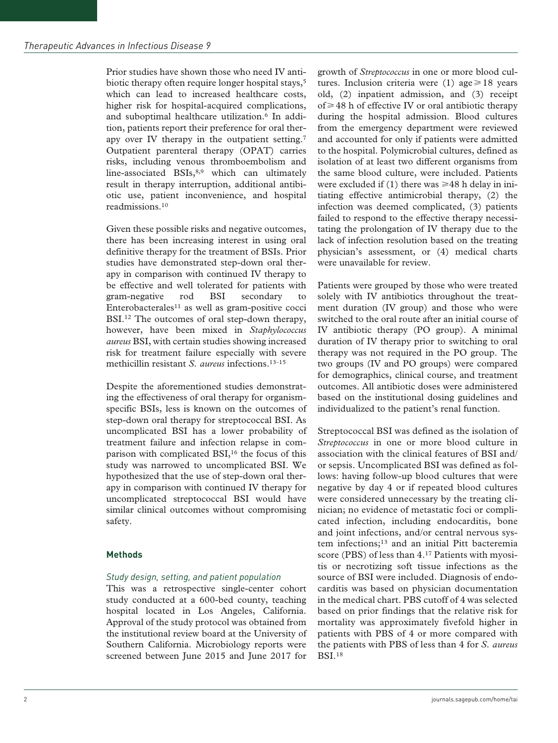Prior studies have shown those who need IV antibiotic therapy often require longer hospital stays,<sup>5</sup> which can lead to increased healthcare costs, higher risk for hospital-acquired complications, and suboptimal healthcare utilization.<sup>6</sup> In addition, patients report their preference for oral therapy over IV therapy in the outpatient setting.7 Outpatient parenteral therapy (OPAT) carries risks, including venous thromboembolism and line-associated BSIs,<sup>8,9</sup> which can ultimately result in therapy interruption, additional antibiotic use, patient inconvenience, and hospital readmissions.10

Given these possible risks and negative outcomes, there has been increasing interest in using oral definitive therapy for the treatment of BSIs. Prior studies have demonstrated step-down oral therapy in comparison with continued IV therapy to be effective and well tolerated for patients with gram-negative rod BSI secondary to Enterobacterales $11$  as well as gram-positive cocci BSI.<sup>12</sup> The outcomes of oral step-down therapy, however, have been mixed in *Staphylococcus aureus* BSI, with certain studies showing increased risk for treatment failure especially with severe methicillin resistant *S. aureus* infections.13–15

Despite the aforementioned studies demonstrating the effectiveness of oral therapy for organismspecific BSIs, less is known on the outcomes of step-down oral therapy for streptococcal BSI. As uncomplicated BSI has a lower probability of treatment failure and infection relapse in comparison with complicated BSI,<sup>16</sup> the focus of this study was narrowed to uncomplicated BSI. We hypothesized that the use of step-down oral therapy in comparison with continued IV therapy for uncomplicated streptococcal BSI would have similar clinical outcomes without compromising safety.

# **Methods**

## *Study design, setting, and patient population*

This was a retrospective single-center cohort study conducted at a 600-bed county, teaching hospital located in Los Angeles, California. Approval of the study protocol was obtained from the institutional review board at the University of Southern California. Microbiology reports were screened between June 2015 and June 2017 for

growth of *Streptococcus* in one or more blood cultures. Inclusion criteria were (1) age  $\geq$  18 years old, (2) inpatient admission, and (3) receipt of  $\geq$  48 h of effective IV or oral antibiotic therapy during the hospital admission. Blood cultures from the emergency department were reviewed and accounted for only if patients were admitted to the hospital. Polymicrobial cultures, defined as isolation of at least two different organisms from the same blood culture, were included. Patients were excluded if (1) there was  $\geq 48$  h delay in initiating effective antimicrobial therapy, (2) the infection was deemed complicated, (3) patients failed to respond to the effective therapy necessitating the prolongation of IV therapy due to the lack of infection resolution based on the treating physician's assessment, or (4) medical charts were unavailable for review.

Patients were grouped by those who were treated solely with IV antibiotics throughout the treatment duration (IV group) and those who were switched to the oral route after an initial course of IV antibiotic therapy (PO group). A minimal duration of IV therapy prior to switching to oral therapy was not required in the PO group. The two groups (IV and PO groups) were compared for demographics, clinical course, and treatment outcomes. All antibiotic doses were administered based on the institutional dosing guidelines and individualized to the patient's renal function.

Streptococcal BSI was defined as the isolation of *Streptococcus* in one or more blood culture in association with the clinical features of BSI and/ or sepsis. Uncomplicated BSI was defined as follows: having follow-up blood cultures that were negative by day 4 or if repeated blood cultures were considered unnecessary by the treating clinician; no evidence of metastatic foci or complicated infection, including endocarditis, bone and joint infections, and/or central nervous system infections;13 and an initial Pitt bacteremia score (PBS) of less than 4.17 Patients with myositis or necrotizing soft tissue infections as the source of BSI were included. Diagnosis of endocarditis was based on physician documentation in the medical chart. PBS cutoff of 4 was selected based on prior findings that the relative risk for mortality was approximately fivefold higher in patients with PBS of 4 or more compared with the patients with PBS of less than 4 for *S. aureus* BSI.18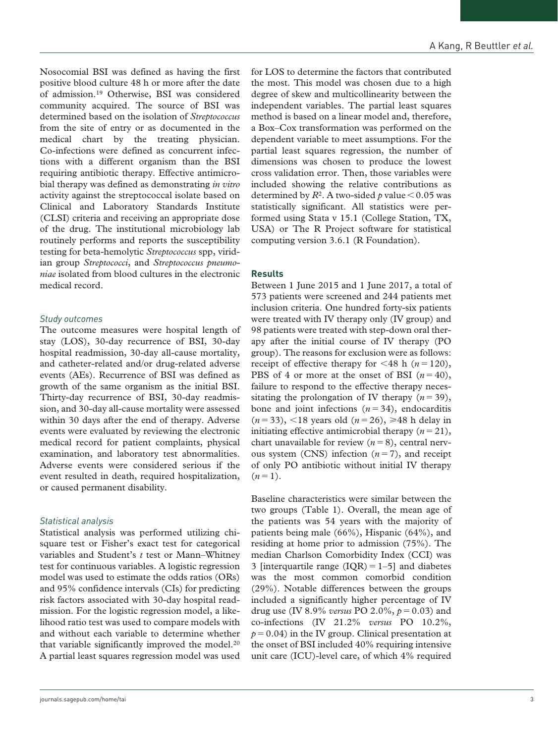Nosocomial BSI was defined as having the first positive blood culture 48 h or more after the date of admission.19 Otherwise, BSI was considered community acquired. The source of BSI was determined based on the isolation of *Streptococcus* from the site of entry or as documented in the medical chart by the treating physician. Co-infections were defined as concurrent infections with a different organism than the BSI requiring antibiotic therapy. Effective antimicrobial therapy was defined as demonstrating *in vitro* activity against the streptococcal isolate based on Clinical and Laboratory Standards Institute (CLSI) criteria and receiving an appropriate dose of the drug. The institutional microbiology lab routinely performs and reports the susceptibility testing for beta-hemolytic *Streptococcus* spp, viridian group *Streptococci*, and *Streptococcus pneumoniae* isolated from blood cultures in the electronic medical record.

#### *Study outcomes*

The outcome measures were hospital length of stay (LOS), 30-day recurrence of BSI, 30-day hospital readmission, 30-day all-cause mortality, and catheter-related and/or drug-related adverse events (AEs). Recurrence of BSI was defined as growth of the same organism as the initial BSI. Thirty-day recurrence of BSI, 30-day readmission, and 30-day all-cause mortality were assessed within 30 days after the end of therapy. Adverse events were evaluated by reviewing the electronic medical record for patient complaints, physical examination, and laboratory test abnormalities. Adverse events were considered serious if the event resulted in death, required hospitalization, or caused permanent disability.

#### *Statistical analysis*

Statistical analysis was performed utilizing chisquare test or Fisher's exact test for categorical variables and Student's *t* test or Mann–Whitney test for continuous variables. A logistic regression model was used to estimate the odds ratios (ORs) and 95% confidence intervals (CIs) for predicting risk factors associated with 30-day hospital readmission. For the logistic regression model, a likelihood ratio test was used to compare models with and without each variable to determine whether that variable significantly improved the model.<sup>20</sup> A partial least squares regression model was used

for LOS to determine the factors that contributed the most. This model was chosen due to a high degree of skew and multicollinearity between the independent variables. The partial least squares method is based on a linear model and, therefore, a Box–Cox transformation was performed on the dependent variable to meet assumptions. For the partial least squares regression, the number of dimensions was chosen to produce the lowest cross validation error. Then, those variables were included showing the relative contributions as determined by  $R^2$ . A two-sided *p* value  $\leq 0.05$  was statistically significant. All statistics were performed using Stata v 15.1 (College Station, TX, USA) or The R Project software for statistical computing version 3.6.1 (R Foundation).

#### **Results**

Between 1 June 2015 and 1 June 2017, a total of 573 patients were screened and 244 patients met inclusion criteria. One hundred forty-six patients were treated with IV therapy only (IV group) and 98 patients were treated with step-down oral therapy after the initial course of IV therapy (PO group). The reasons for exclusion were as follows: receipt of effective therapy for  $\leq 48$  h ( $n = 120$ ), PBS of 4 or more at the onset of BSI  $(n=40)$ , failure to respond to the effective therapy necessitating the prolongation of IV therapy  $(n=39)$ , bone and joint infections  $(n=34)$ , endocarditis  $(n=33)$ , <18 years old  $(n=26)$ ,  $\geq 48$  h delay in initiating effective antimicrobial therapy  $(n=21)$ , chart unavailable for review  $(n=8)$ , central nervous system (CNS) infection  $(n=7)$ , and receipt of only PO antibiotic without initial IV therapy  $(n=1)$ .

Baseline characteristics were similar between the two groups (Table 1). Overall, the mean age of the patients was 54 years with the majority of patients being male (66%), Hispanic (64%), and residing at home prior to admission (75%). The median Charlson Comorbidity Index (CCI) was 3 [interquartile range  $(IOR) = 1-5$ ] and diabetes was the most common comorbid condition (29%). Notable differences between the groups included a significantly higher percentage of IV drug use (IV 8.9% *versus* PO 2.0%, *p*=0.03) and co-infections (IV 21.2% *versus* PO 10.2%,  $p = 0.04$ ) in the IV group. Clinical presentation at the onset of BSI included 40% requiring intensive unit care (ICU)-level care, of which 4% required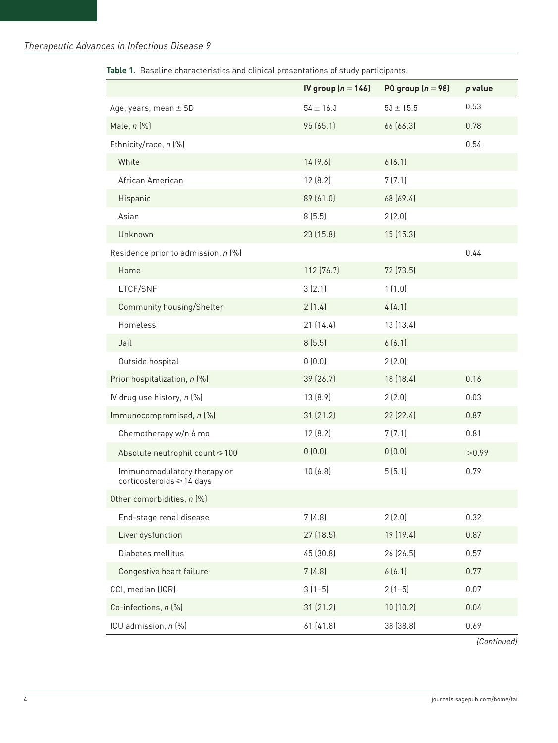|  |  |  |  |  | Table 1. Baseline characteristics and clinical presentations of study participants. |
|--|--|--|--|--|-------------------------------------------------------------------------------------|
|--|--|--|--|--|-------------------------------------------------------------------------------------|

|                                                          | IV group $(n = 146)$ | PO group $(n = 98)$ | p value |
|----------------------------------------------------------|----------------------|---------------------|---------|
| Age, years, mean $\pm$ SD                                | $54 \pm 16.3$        | $53 \pm 15.5$       | 0.53    |
| Male, $n$ $%$                                            | 95 (65.1)            | 66 (66.3)           | 0.78    |
| Ethnicity/race, n (%)                                    |                      |                     | 0.54    |
| White                                                    | 14(9.6)              | 6(6.1)              |         |
| African American                                         | 12(8.2)              | 7(7.1)              |         |
| Hispanic                                                 | 89 (61.0)            | 68 (69.4)           |         |
| Asian                                                    | 8(5.5)               | 2(2.0)              |         |
| Unknown                                                  | 23 (15.8)            | 15(15.3)            |         |
| Residence prior to admission, n (%)                      |                      |                     | 0.44    |
| Home                                                     | 112 (76.7)           | 72 (73.5)           |         |
| LTCF/SNF                                                 | 3(2.1)               | 1(1.0)              |         |
| Community housing/Shelter                                | 2(1.4)               | 4(4.1)              |         |
| Homeless                                                 | 21(14.4)             | 13 (13.4)           |         |
| Jail                                                     | 8(5.5)               | 6(6.1)              |         |
| Outside hospital                                         | 0(0.0)               | 2(2.0)              |         |
| Prior hospitalization, n (%)                             | 39 (26.7)            | 18 (18.4)           | 0.16    |
| IV drug use history, n (%)                               | 13 (8.9)             | 2(2.0)              | 0.03    |
| Immunocompromised, n (%)                                 | 31 (21.2)            | 22 (22.4)           | 0.87    |
| Chemotherapy w/n 6 mo                                    | 12(8.2)              | 7(7.1)              | 0.81    |
| Absolute neutrophil count ≤ 100                          | 0(0.0)               | 0(0.0)              | >0.99   |
| Immunomodulatory therapy or<br>corticosteroids ≥ 14 days | 10(6.8)              | 5(5.1)              | 0.79    |
| Other comorbidities, n (%)                               |                      |                     |         |
| End-stage renal disease                                  | 7(4.8)               | 2(2.0)              | 0.32    |
| Liver dysfunction                                        | 27 (18.5)            | 19 (19.4)           | 0.87    |
| Diabetes mellitus                                        | 45 (30.8)            | 26 (26.5)           | 0.57    |
| Congestive heart failure                                 | 7(4.8)               | 6(6.1)              | 0.77    |
| CCI, median (IQR)                                        | $3(1-5)$             | $2(1-5)$            | 0.07    |
| Co-infections, n (%)                                     | 31 (21.2)            | 10(10.2)            | 0.04    |
| ICU admission, n (%)                                     | 61 (41.8)            | 38 (38.8)           | 0.69    |

*(Continued)*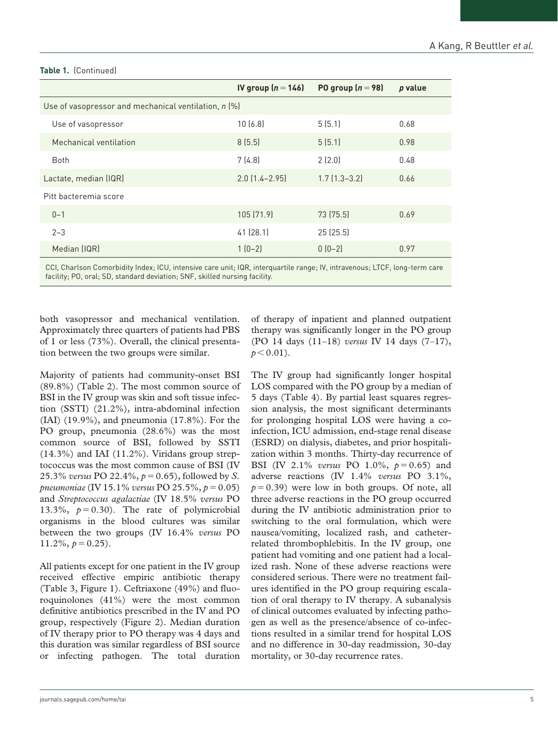|                                                      | IV group $(n = 146)$ | PO group $(n = 98)$ | p value |
|------------------------------------------------------|----------------------|---------------------|---------|
| Use of vasopressor and mechanical ventilation, n (%) |                      |                     |         |
| Use of vasopressor                                   | 10(6.8)              | 5(5.1)              | 0.68    |
| Mechanical ventilation                               | 8(5.5)               | 5(5.1)              | 0.98    |
| <b>Both</b>                                          | 7(4.8)               | 2(2.0)              | 0.48    |
| Lactate, median (IQR)                                | $2.0$ $(1.4 - 2.95)$ | $1.7$ $(1.3-3.2)$   | 0.66    |
| Pitt bacteremia score                                |                      |                     |         |
| $0 - 1$                                              | 105 (71.9)           | 73 (75.5)           | 0.69    |
| $2 - 3$                                              | 41(28.1)             | 25(25.5)            |         |
| Median (IQR)                                         | $1(0-2)$             | $0(0-2)$            | 0.97    |
|                                                      |                      |                     |         |

#### **Table 1.** (Continued)

CCI, Charlson Comorbidity Index; ICU, intensive care unit; IQR, interquartile range; IV, intravenous; LTCF, long-term care facility; PO, oral; SD, standard deviation; SNF, skilled nursing facility.

both vasopressor and mechanical ventilation. Approximately three quarters of patients had PBS of 1 or less (73%). Overall, the clinical presentation between the two groups were similar.

Majority of patients had community-onset BSI (89.8%) (Table 2). The most common source of BSI in the IV group was skin and soft tissue infection (SSTI) (21.2%), intra-abdominal infection (IAI) (19.9%), and pneumonia (17.8%). For the PO group, pneumonia (28.6%) was the most common source of BSI, followed by SSTI  $(14.3\%)$  and IAI  $(11.2\%)$ . Viridans group streptococcus was the most common cause of BSI (IV 25.3% *versus* PO 22.4%, *p*=0.65), followed by *S. pneumoniae* (IV 15.1% *versus* PO 25.5%, *p*=0.05) and *Streptococcus agalactiae* (IV 18.5% *versus* PO 13.3%,  $p = 0.30$ ). The rate of polymicrobial organisms in the blood cultures was similar between the two groups (IV 16.4% *versus* PO  $11.2\%, p=0.25$ .

All patients except for one patient in the IV group received effective empiric antibiotic therapy (Table 3, Figure 1). Ceftriaxone (49%) and fluoroquinolones (41%) were the most common definitive antibiotics prescribed in the IV and PO group, respectively (Figure 2). Median duration of IV therapy prior to PO therapy was 4 days and this duration was similar regardless of BSI source or infecting pathogen. The total duration

of therapy of inpatient and planned outpatient therapy was significantly longer in the PO group (PO 14 days (11–18) *versus* IV 14 days (7–17),  $p < 0.01$ ).

The IV group had significantly longer hospital LOS compared with the PO group by a median of 5 days (Table 4). By partial least squares regression analysis, the most significant determinants for prolonging hospital LOS were having a coinfection, ICU admission, end-stage renal disease (ESRD) on dialysis, diabetes, and prior hospitalization within 3 months. Thirty-day recurrence of BSI (IV 2.1% *versus* PO 1.0%, *p*=0.65) and adverse reactions (IV 1.4% *versus* PO 3.1%,  $p = 0.39$ ) were low in both groups. Of note, all three adverse reactions in the PO group occurred during the IV antibiotic administration prior to switching to the oral formulation, which were nausea/vomiting, localized rash, and catheterrelated thrombophlebitis. In the IV group, one patient had vomiting and one patient had a localized rash. None of these adverse reactions were considered serious. There were no treatment failures identified in the PO group requiring escalation of oral therapy to IV therapy. A subanalysis of clinical outcomes evaluated by infecting pathogen as well as the presence/absence of co-infections resulted in a similar trend for hospital LOS and no difference in 30-day readmission, 30-day mortality, or 30-day recurrence rates.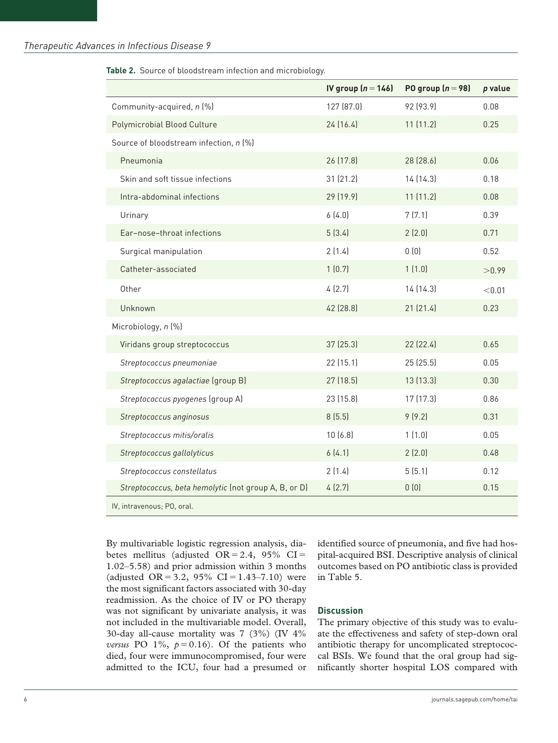#### **Table 2.** Source of bloodstream infection and microbiology.

|                                                      | IV group $(n = 146)$ | PO group $(n = 98)$ | $p$ value |
|------------------------------------------------------|----------------------|---------------------|-----------|
| Community-acquired, n (%)                            | 127 (87.0)           | 92 (93.9)           | 0.08      |
| <b>Polymicrobial Blood Culture</b>                   | 24(16.4)             | 11(11.2)            | 0.25      |
| Source of bloodstream infection, n (%)               |                      |                     |           |
| Pneumonia                                            | 26 (17.8)            | 28 (28.6)           | 0.06      |
| Skin and soft tissue infections                      | 31 (21.2)            | 14 (14.3)           | 0.18      |
| Intra-abdominal infections                           | 29 (19.9)            | 11(11.2)            | 0.08      |
| Urinary                                              | 6(4.0)               | 7(7.1)              | 0.39      |
| Ear-nose-throat infections                           | 5(3.4)               | 2(2.0)              | 0.71      |
| Surgical manipulation                                | 2(1.4)               | 0(0)                | 0.52      |
| Catheter-associated                                  | 1(0.7)               | 1(1.0)              | >0.99     |
| Other                                                | 4(2.7)               | 14 (14.3)           | < 0.01    |
| Unknown                                              | 42 (28.8)            | 21(21.4)            | 0.23      |
| Microbiology, n (%)                                  |                      |                     |           |
| Viridans group streptococcus                         | 37(25.3)             | 22 (22.4)           | 0.65      |
| Streptococcus pneumoniae                             | 22 (15.1)            | 25 (25.5)           | 0.05      |
| Streptococcus agalactiae (group B)                   | 27 (18.5)            | 13 (13.3)           | 0.30      |
| Streptococcus pyogenes (group A)                     | 23 (15.8)            | 17 (17.3)           | 0.86      |
| Streptococcus anginosus                              | 8(5.5)               | 9(9.2)              | 0.31      |
| Streptococcus mitis/oralis                           | 10(6.8)              | 1(1.0)              | 0.05      |
| Streptococcus gallolyticus                           | 6(4.1)               | 2(2.0)              | 0.48      |
| Streptococcus constellatus                           | 2(1.4)               | 5(5.1)              | 0.12      |
| Streptococcus, beta hemolytic (not group A, B, or D) | 4(2.7)               | 0(0)                | 0.15      |
| IV, intravenous; PO, oral.                           |                      |                     |           |

By multivariable logistic regression analysis, diabetes mellitus (adjusted  $OR = 2.4$ , 95%  $CI =$ 1.02–5.58) and prior admission within 3 months (adjusted OR = 3.2, 95% CI = 1.43–7.10) were the most significant factors associated with 30-day readmission. As the choice of IV or PO therapy was not significant by univariate analysis, it was not included in the multivariable model. Overall, 30-day all-cause mortality was 7 (3%) (IV 4% *versus* PO 1%,  $p = 0.16$ . Of the patients who died, four were immunocompromised, four were admitted to the ICU, four had a presumed or identified source of pneumonia, and five had hospital-acquired BSI. Descriptive analysis of clinical outcomes based on PO antibiotic class is provided in Table 5.

#### **Discussion**

The primary objective of this study was to evaluate the effectiveness and safety of step-down oral antibiotic therapy for uncomplicated streptococcal BSIs. We found that the oral group had significantly shorter hospital LOS compared with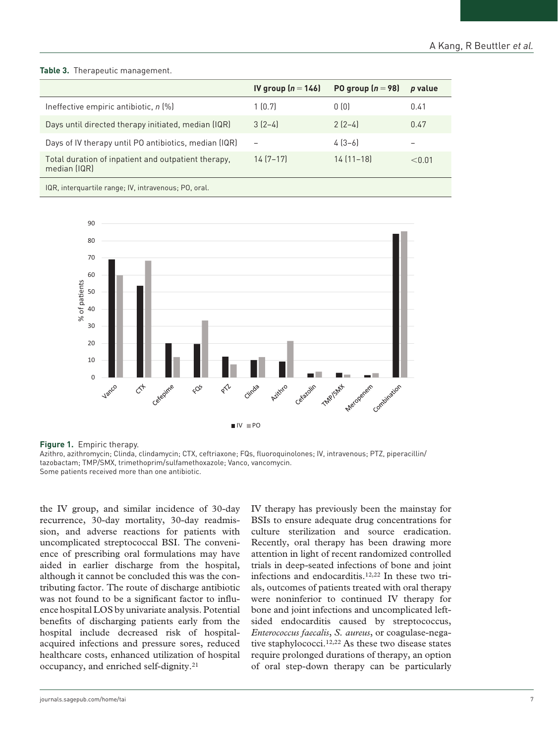#### **Table 3.** Therapeutic management.

|                                                                     | IV group $(n = 146)$ | PO group $(n = 98)$ | p value |
|---------------------------------------------------------------------|----------------------|---------------------|---------|
| Ineffective empiric antibiotic, $n$ (%)                             | 1(0.7)               | 0(0)                | 0.41    |
| Days until directed therapy initiated, median (IQR)                 | $3(2-4)$             | $2(2-4)$            | 0.47    |
| Days of IV therapy until PO antibiotics, median (IQR)               |                      | $4[3-6]$            |         |
| Total duration of inpatient and outpatient therapy,<br>median (IQR) | $14(7-17)$           | $14(11-18)$         | < 0.01  |
| $\mathbf{100}$ $\mathbf{0.10}$                                      |                      |                     |         |

IQR, interquartile range; IV, intravenous; PO, oral.



**Figure 1.** Empiric therapy.

Azithro, azithromycin; Clinda, clindamycin; CTX, ceftriaxone; FQs, fluoroquinolones; IV, intravenous; PTZ, piperacillin/ tazobactam; TMP/SMX, trimethoprim/sulfamethoxazole; Vanco, vancomycin. Some patients received more than one antibiotic.

the IV group, and similar incidence of 30-day recurrence, 30-day mortality, 30-day readmission, and adverse reactions for patients with uncomplicated streptococcal BSI. The convenience of prescribing oral formulations may have aided in earlier discharge from the hospital, although it cannot be concluded this was the contributing factor. The route of discharge antibiotic was not found to be a significant factor to influence hospital LOS by univariate analysis. Potential benefits of discharging patients early from the hospital include decreased risk of hospitalacquired infections and pressure sores, reduced healthcare costs, enhanced utilization of hospital occupancy, and enriched self-dignity.21

IV therapy has previously been the mainstay for BSIs to ensure adequate drug concentrations for culture sterilization and source eradication. Recently, oral therapy has been drawing more attention in light of recent randomized controlled trials in deep-seated infections of bone and joint infections and endocarditis.12,22 In these two trials, outcomes of patients treated with oral therapy were noninferior to continued IV therapy for bone and joint infections and uncomplicated leftsided endocarditis caused by streptococcus, *Enterococcus faecalis*, *S. aureus*, or coagulase-negative staphylococci.12,22 As these two disease states require prolonged durations of therapy, an option of oral step-down therapy can be particularly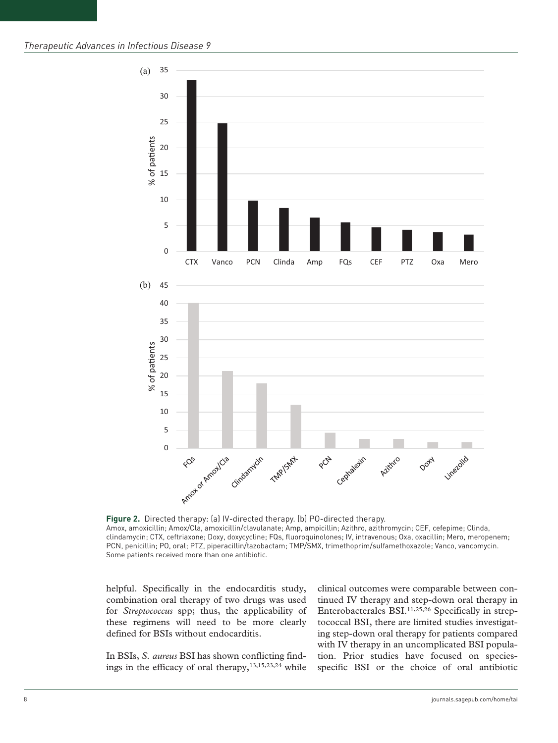

**Figure 2.** Directed therapy: (a) IV-directed therapy. (b) PO-directed therapy. Amox, amoxicillin; Amox/Cla, amoxicillin/clavulanate; Amp, ampicillin; Azithro, azithromycin; CEF, cefepime; Clinda, clindamycin; CTX, ceftriaxone; Doxy, doxycycline; FQs, fluoroquinolones; IV, intravenous; Oxa, oxacillin; Mero, meropenem; PCN, penicillin; PO, oral; PTZ, piperacillin/tazobactam; TMP/SMX, trimethoprim/sulfamethoxazole; Vanco, vancomycin. Some patients received more than one antibiotic.

helpful. Specifically in the endocarditis study, combination oral therapy of two drugs was used for *Streptococcus* spp; thus, the applicability of these regimens will need to be more clearly defined for BSIs without endocarditis.

In BSIs, *S. aureus* BSI has shown conflicting findings in the efficacy of oral therapy, $13,15,23,24$  while

clinical outcomes were comparable between continued IV therapy and step-down oral therapy in Enterobacterales BSI.11,25,26 Specifically in streptococcal BSI, there are limited studies investigating step-down oral therapy for patients compared with IV therapy in an uncomplicated BSI population. Prior studies have focused on speciesspecific BSI or the choice of oral antibiotic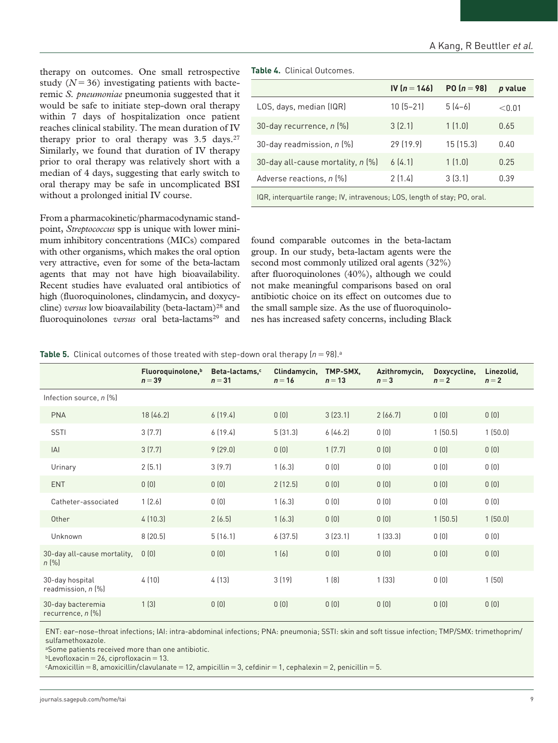therapy on outcomes. One small retrospective study  $(N=36)$  investigating patients with bacteremic *S. pneumoniae* pneumonia suggested that it would be safe to initiate step-down oral therapy within 7 days of hospitalization once patient reaches clinical stability. The mean duration of IV therapy prior to oral therapy was  $3.5 \text{ days.}^{27}$ Similarly, we found that duration of IV therapy prior to oral therapy was relatively short with a median of 4 days, suggesting that early switch to oral therapy may be safe in uncomplicated BSI without a prolonged initial IV course.

From a pharmacokinetic/pharmacodynamic standpoint, *Streptococcus* spp is unique with lower minimum inhibitory concentrations (MICs) compared with other organisms, which makes the oral option very attractive, even for some of the beta-lactam agents that may not have high bioavailability. Recent studies have evaluated oral antibiotics of high (fluoroquinolones, clindamycin, and doxycycline) *versus* low bioavailability (beta-lactam)<sup>28</sup> and fluoroquinolones *versus* oral beta-lactams<sup>29</sup> and **Table 4.** Clinical Outcomes.

|                                   | IV $(n = 146)$ | PO $(n = 98)$ | p value |
|-----------------------------------|----------------|---------------|---------|
| LOS, days, median (IQR)           | $10(5-21)$     | $5(4-6)$      | < 0.01  |
| 30-day recurrence, $n$ $%$        | 3(2.1)         | 1(1.0)        | 0.65    |
| 30-day readmission, n (%)         | 29 (19.9)      | 15(15.3)      | 0.40    |
| 30-day all-cause mortality, n [%] | 6(4.1)         | 1(1.0)        | 0.25    |
| Adverse reactions, n (%)          | 2(1.4)         | 3(3.1)        | 0.39    |
|                                   |                |               |         |

IQR, interquartile range; IV, intravenous; LOS, length of stay; PO, oral.

found comparable outcomes in the beta-lactam group. In our study, beta-lactam agents were the second most commonly utilized oral agents (32%) after fluoroquinolones (40%), although we could not make meaningful comparisons based on oral antibiotic choice on its effect on outcomes due to the small sample size. As the use of fluoroquinolones has increased safety concerns, including Black

|  |  |  |  |  |  |  | <b>Table 5.</b> Clinical outcomes of those treated with step-down oral therapy $(n = 98)$ . <sup>a</sup> |  |
|--|--|--|--|--|--|--|----------------------------------------------------------------------------------------------------------|--|
|--|--|--|--|--|--|--|----------------------------------------------------------------------------------------------------------|--|

|                                           | Fluoroquinolone, <sup>b</sup><br>$n = 39$ | Beta-lactams. <sup>c</sup><br>$n = 31$ | Clindamycin,<br>$n = 16$ | TMP-SMX.<br>$n = 13$ | Azithromycin,<br>$n=3$ | Doxycycline,<br>$n = 2$ | Linezolid,<br>$n=2$ |
|-------------------------------------------|-------------------------------------------|----------------------------------------|--------------------------|----------------------|------------------------|-------------------------|---------------------|
| Infection source, $n$ $%$                 |                                           |                                        |                          |                      |                        |                         |                     |
| <b>PNA</b>                                | 18 (46.2)                                 | 6(19.4)                                | 0(0)                     | 3(23.1)              | 2(66.7)                | 0(0)                    | 0(0)                |
| <b>SSTI</b>                               | 3(7.7)                                    | 6[19.4]                                | 5(31.3)                  | 6(46.2)              | 0(0)                   | 1(50.5)                 | 1(50.0)             |
| A                                         | 3(7.7)                                    | 9(29.0)                                | 0(0)                     | 1(7.7)               | 0(0)                   | 0(0)                    | 0(0)                |
| Urinary                                   | 2(5.1)                                    | 3(9.7)                                 | 1(6.3)                   | 0(0)                 | 0(0)                   | 0(0)                    | 0(0)                |
| <b>ENT</b>                                | 0(0)                                      | 0(0)                                   | 2(12.5)                  | 0(0)                 | 0(0)                   | 0(0)                    | 0(0)                |
| Catheter-associated                       | 1(2.6)                                    | 0(0)                                   | 1(6.3)                   | 0(0)                 | 0(0)                   | 0(0)                    | 0(0)                |
| Other                                     | 4(10.3)                                   | 2(6.5)                                 | 1(6.3)                   | 0(0)                 | 0(0)                   | 1(50.5)                 | 1(50.0)             |
| Unknown                                   | 8(20.5)                                   | 5(16.1)                                | 6(37.5)                  | 3(23.1)              | 1(33.3)                | 0(0)                    | 0(0)                |
| 30-day all-cause mortality,<br>$n \, (%)$ | 0(0)                                      | 0(0)                                   | 1(6)                     | 0(0)                 | 0(0)                   | 0(0)                    | 0(0)                |
| 30-day hospital<br>readmission, $n$ $%$   | 4(10)                                     | 4(13)                                  | 3(19)                    | 1(8)                 | 1(33)                  | 0(0)                    | 1(50)               |
| 30-day bacteremia<br>recurrence, $n$ $%$  | 1(3)                                      | 0(0)                                   | 0(0)                     | 0(0)                 | 0(0)                   | 0(0)                    | 0(0)                |

ENT: ear–nose–throat infections; IAI: intra-abdominal infections; PNA: pneumonia; SSTI: skin and soft tissue infection; TMP/SMX: trimethoprim/ sulfamethoxazole.

aSome patients received more than one antibiotic.

 $b$ Levofloxacin = 26, ciprofloxacin = 13.

 $cA$ moxicillin = 8, amoxicillin/clavulanate = 12, ampicillin = 3, cefdinir = 1, cephalexin = 2, penicillin = 5.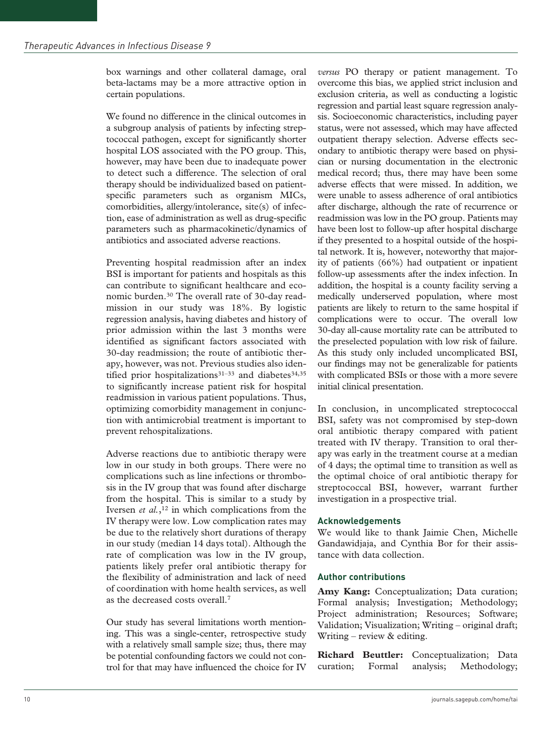box warnings and other collateral damage, oral beta-lactams may be a more attractive option in certain populations.

We found no difference in the clinical outcomes in a subgroup analysis of patients by infecting streptococcal pathogen, except for significantly shorter hospital LOS associated with the PO group. This, however, may have been due to inadequate power to detect such a difference. The selection of oral therapy should be individualized based on patientspecific parameters such as organism MICs, comorbidities, allergy/intolerance, site(s) of infection, ease of administration as well as drug-specific parameters such as pharmacokinetic/dynamics of antibiotics and associated adverse reactions.

Preventing hospital readmission after an index BSI is important for patients and hospitals as this can contribute to significant healthcare and economic burden.30 The overall rate of 30-day readmission in our study was 18%. By logistic regression analysis, having diabetes and history of prior admission within the last 3 months were identified as significant factors associated with 30-day readmission; the route of antibiotic therapy, however, was not. Previous studies also identified prior hospitalizations<sup>31-33</sup> and diabetes<sup>34,35</sup> to significantly increase patient risk for hospital readmission in various patient populations. Thus, optimizing comorbidity management in conjunction with antimicrobial treatment is important to prevent rehospitalizations.

Adverse reactions due to antibiotic therapy were low in our study in both groups. There were no complications such as line infections or thrombosis in the IV group that was found after discharge from the hospital. This is similar to a study by Iversen *et al.*,<sup>12</sup> in which complications from the IV therapy were low. Low complication rates may be due to the relatively short durations of therapy in our study (median 14 days total). Although the rate of complication was low in the IV group, patients likely prefer oral antibiotic therapy for the flexibility of administration and lack of need of coordination with home health services, as well as the decreased costs overall.7

Our study has several limitations worth mentioning. This was a single-center, retrospective study with a relatively small sample size; thus, there may be potential confounding factors we could not control for that may have influenced the choice for IV *versus* PO therapy or patient management. To overcome this bias, we applied strict inclusion and exclusion criteria, as well as conducting a logistic regression and partial least square regression analysis. Socioeconomic characteristics, including payer status, were not assessed, which may have affected outpatient therapy selection. Adverse effects secondary to antibiotic therapy were based on physician or nursing documentation in the electronic medical record; thus, there may have been some adverse effects that were missed. In addition, we were unable to assess adherence of oral antibiotics after discharge, although the rate of recurrence or readmission was low in the PO group. Patients may have been lost to follow-up after hospital discharge if they presented to a hospital outside of the hospital network. It is, however, noteworthy that majority of patients (66%) had outpatient or inpatient follow-up assessments after the index infection. In addition, the hospital is a county facility serving a medically underserved population, where most patients are likely to return to the same hospital if complications were to occur. The overall low 30-day all-cause mortality rate can be attributed to the preselected population with low risk of failure. As this study only included uncomplicated BSI, our findings may not be generalizable for patients with complicated BSIs or those with a more severe initial clinical presentation.

In conclusion, in uncomplicated streptococcal BSI, safety was not compromised by step-down oral antibiotic therapy compared with patient treated with IV therapy. Transition to oral therapy was early in the treatment course at a median of 4 days; the optimal time to transition as well as the optimal choice of oral antibiotic therapy for streptococcal BSI, however, warrant further investigation in a prospective trial.

#### **Acknowledgements**

We would like to thank Jaimie Chen, Michelle Gandawidjaja, and Cynthia Bor for their assistance with data collection.

#### **Author contributions**

**Amy Kang:** Conceptualization; Data curation; Formal analysis; Investigation; Methodology; Project administration; Resources; Software; Validation; Visualization; Writing – original draft; Writing – review & editing.

**Richard Beuttler:** Conceptualization; Data curation; Formal analysis; Methodology;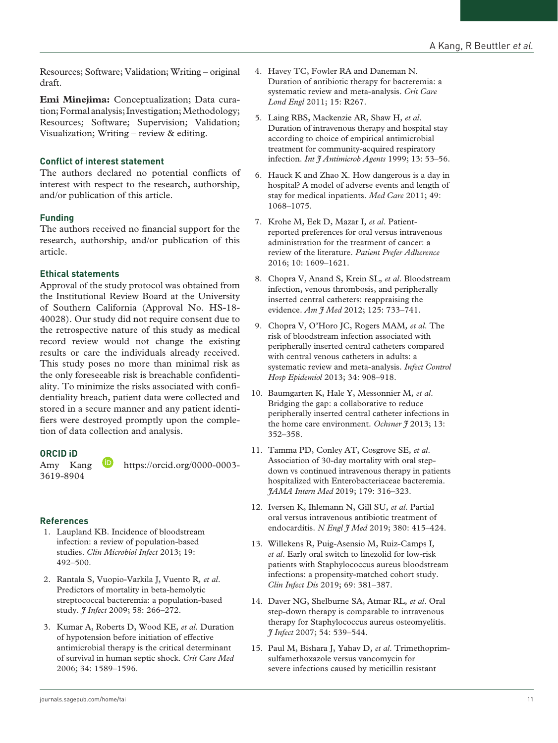Resources; Software; Validation; Writing – original draft.

**Emi Minejima:** Conceptualization; Data curation; Formal analysis; Investigation; Methodology; Resources; Software; Supervision; Validation; Visualization; Writing – review & editing.

#### **Conflict of interest statement**

The authors declared no potential conflicts of interest with respect to the research, authorship, and/or publication of this article.

#### **Funding**

The authors received no financial support for the research, authorship, and/or publication of this article.

#### **Ethical statements**

Approval of the study protocol was obtained from the Institutional Review Board at the University of Southern California (Approval No. HS-18- 40028). Our study did not require consent due to the retrospective nature of this study as medical record review would not change the existing results or care the individuals already received. This study poses no more than minimal risk as the only foreseeable risk is breachable confidentiality. To minimize the risks associated with confidentiality breach, patient data were collected and stored in a secure manner and any patient identifiers were destroyed promptly upon the completion of data collection and analysis.

#### **ORCID iD**

[3619-8904](https://orcid.org/0000-0003-3619-8904)

Amy Kang **b** [https://orcid.org/0000-0003-](https://orcid.org/0000-0003-3619-8904)

### **References**

- 1. Laupland KB. Incidence of bloodstream infection: a review of population-based studies. *Clin Microbiol Infect* 2013; 19: 492–500.
- 2. Rantala S, Vuopio-Varkila J, Vuento R*, et al*. Predictors of mortality in beta-hemolytic streptococcal bacteremia: a population-based study. *J Infect* 2009; 58: 266–272.
- 3. Kumar A, Roberts D, Wood KE*, et al*. Duration of hypotension before initiation of effective antimicrobial therapy is the critical determinant of survival in human septic shock. *Crit Care Med* 2006; 34: 1589–1596.
- 4. Havey TC, Fowler RA and Daneman N. Duration of antibiotic therapy for bacteremia: a systematic review and meta-analysis. *Crit Care Lond Engl* 2011; 15: R267.
- 5. Laing RBS, Mackenzie AR, Shaw H*, et al*. Duration of intravenous therapy and hospital stay according to choice of empirical antimicrobial treatment for community-acquired respiratory infection. *Int J Antimicrob Agents* 1999; 13: 53–56.
- 6. Hauck K and Zhao X. How dangerous is a day in hospital? A model of adverse events and length of stay for medical inpatients. *Med Care* 2011; 49: 1068–1075.
- 7. Krohe M, Eek D, Mazar I*, et al*. Patientreported preferences for oral versus intravenous administration for the treatment of cancer: a review of the literature. *Patient Prefer Adherence* 2016; 10: 1609–1621.
- 8. Chopra V, Anand S, Krein SL*, et al*. Bloodstream infection, venous thrombosis, and peripherally inserted central catheters: reappraising the evidence. *Am J Med* 2012; 125: 733–741.
- 9. Chopra V, O'Horo JC, Rogers MAM*, et al*. The risk of bloodstream infection associated with peripherally inserted central catheters compared with central venous catheters in adults: a systematic review and meta-analysis. *Infect Control Hosp Epidemiol* 2013; 34: 908–918.
- 10. Baumgarten K, Hale Y, Messonnier M*, et al*. Bridging the gap: a collaborative to reduce peripherally inserted central catheter infections in the home care environment. *Ochsner*  $\frac{9}{2}$  2013; 13: 352–358.
- 11. Tamma PD, Conley AT, Cosgrove SE*, et al*. Association of 30-day mortality with oral stepdown vs continued intravenous therapy in patients hospitalized with Enterobacteriaceae bacteremia. *JAMA Intern Med* 2019; 179: 316–323.
- 12. Iversen K, Ihlemann N, Gill SU*, et al*. Partial oral versus intravenous antibiotic treatment of endocarditis. *N Engl J Med* 2019; 380: 415–424.
- 13. Willekens R, Puig-Asensio M, Ruiz-Camps I*, et al*. Early oral switch to linezolid for low-risk patients with Staphylococcus aureus bloodstream infections: a propensity-matched cohort study. *Clin Infect Dis* 2019; 69: 381–387.
- 14. Daver NG, Shelburne SA, Atmar RL*, et al*. Oral step-down therapy is comparable to intravenous therapy for Staphylococcus aureus osteomyelitis. *J Infect* 2007; 54: 539–544.
- 15. Paul M, Bishara J, Yahav D*, et al*. Trimethoprimsulfamethoxazole versus vancomycin for severe infections caused by meticillin resistant